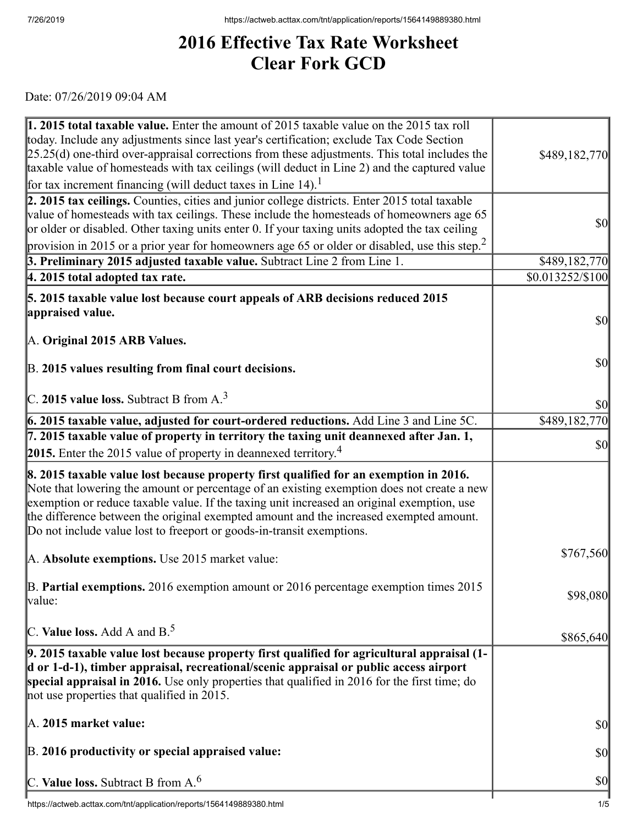## **2016 Effective Tax Rate Worksheet Clear Fork GCD**

Date: 07/26/2019 09:04 AM

| 1. 2015 total taxable value. Enter the amount of 2015 taxable value on the 2015 tax roll<br>today. Include any adjustments since last year's certification; exclude Tax Code Section<br>$[25.25(d)$ one-third over-appraisal corrections from these adjustments. This total includes the<br>taxable value of homesteads with tax ceilings (will deduct in Line 2) and the captured value                                                             | \$489,182,770                       |
|------------------------------------------------------------------------------------------------------------------------------------------------------------------------------------------------------------------------------------------------------------------------------------------------------------------------------------------------------------------------------------------------------------------------------------------------------|-------------------------------------|
| for tax increment financing (will deduct taxes in Line $14$ ). <sup>1</sup>                                                                                                                                                                                                                                                                                                                                                                          |                                     |
| 2. 2015 tax ceilings. Counties, cities and junior college districts. Enter 2015 total taxable<br>value of homesteads with tax ceilings. These include the homesteads of homeowners age 65<br>or older or disabled. Other taxing units enter 0. If your taxing units adopted the tax ceiling                                                                                                                                                          | <b>\$0</b>                          |
| provision in 2015 or a prior year for homeowners age 65 or older or disabled, use this step. <sup>2</sup>                                                                                                                                                                                                                                                                                                                                            |                                     |
| 3. Preliminary 2015 adjusted taxable value. Subtract Line 2 from Line 1.<br>4. 2015 total adopted tax rate.                                                                                                                                                                                                                                                                                                                                          | \$489,182,770<br>\$0.013252/\$100   |
|                                                                                                                                                                                                                                                                                                                                                                                                                                                      |                                     |
| 5. 2015 taxable value lost because court appeals of ARB decisions reduced 2015                                                                                                                                                                                                                                                                                                                                                                       |                                     |
| appraised value.                                                                                                                                                                                                                                                                                                                                                                                                                                     | <b>\$0</b>                          |
| A. Original 2015 ARB Values.                                                                                                                                                                                                                                                                                                                                                                                                                         |                                     |
|                                                                                                                                                                                                                                                                                                                                                                                                                                                      | <b>\$0</b>                          |
| B. 2015 values resulting from final court decisions.                                                                                                                                                                                                                                                                                                                                                                                                 |                                     |
|                                                                                                                                                                                                                                                                                                                                                                                                                                                      |                                     |
| C. 2015 value loss. Subtract B from $A3$                                                                                                                                                                                                                                                                                                                                                                                                             | $\vert \mathbf{S} \mathbf{O} \vert$ |
| 6. 2015 taxable value, adjusted for court-ordered reductions. Add Line 3 and Line 5C.                                                                                                                                                                                                                                                                                                                                                                | \$489,182,770                       |
| $\vert$ 7. 2015 taxable value of property in territory the taxing unit deannexed after Jan. 1,                                                                                                                                                                                                                                                                                                                                                       | <b>\$0</b>                          |
| <b>2015.</b> Enter the 2015 value of property in deannexed territory. <sup>4</sup>                                                                                                                                                                                                                                                                                                                                                                   |                                     |
| 8. 2015 taxable value lost because property first qualified for an exemption in 2016.<br>Note that lowering the amount or percentage of an existing exemption does not create a new<br>exemption or reduce taxable value. If the taxing unit increased an original exemption, use<br>the difference between the original exempted amount and the increased exempted amount.<br>Do not include value lost to freeport or goods-in-transit exemptions. |                                     |
| A. Absolute exemptions. Use 2015 market value:                                                                                                                                                                                                                                                                                                                                                                                                       | \$767,560                           |
| $\vert$ B. Partial exemptions. 2016 exemption amount or 2016 percentage exemption times 2015<br>value:                                                                                                                                                                                                                                                                                                                                               | \$98,080                            |
| C. Value loss. Add A and $B^5$ .                                                                                                                                                                                                                                                                                                                                                                                                                     | \$865,640                           |
| 9. 2015 taxable value lost because property first qualified for agricultural appraisal (1-<br>d or 1-d-1), timber appraisal, recreational/scenic appraisal or public access airport<br>special appraisal in 2016. Use only properties that qualified in 2016 for the first time; do<br>not use properties that qualified in 2015.                                                                                                                    |                                     |
| $\mathbb{A}$ . 2015 market value:                                                                                                                                                                                                                                                                                                                                                                                                                    | <b>\$0</b>                          |
| B. 2016 productivity or special appraised value:                                                                                                                                                                                                                                                                                                                                                                                                     | <b>\$0</b>                          |
| C. Value loss. Subtract B from $A6$                                                                                                                                                                                                                                                                                                                                                                                                                  | <b>\$0</b>                          |
|                                                                                                                                                                                                                                                                                                                                                                                                                                                      |                                     |

 $\overline{\phantom{a}}$ https://actweb.acttax.com/tnt/application/reports/1564149889380.html 1/5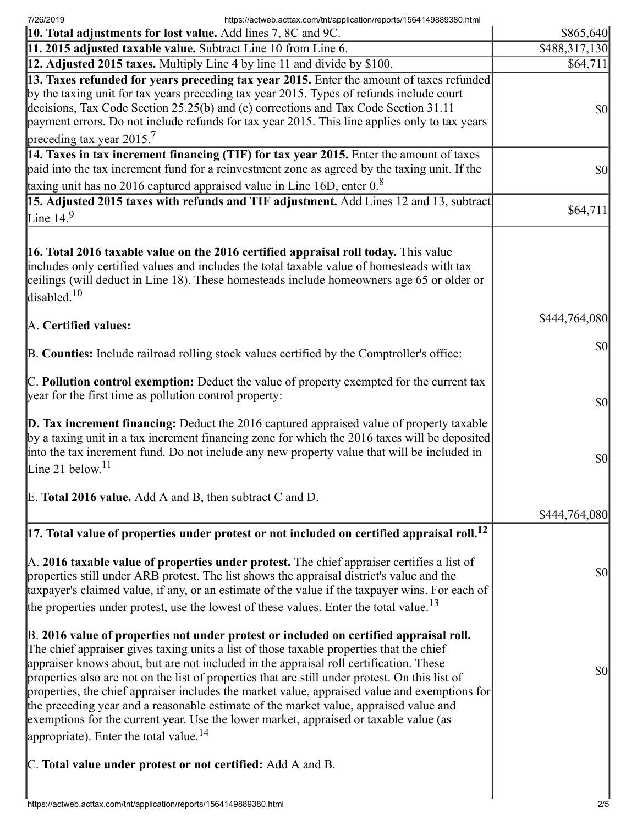7/26/2019 https://actweb.acttax.com/tnt/application/reports/1564149889380.html

| 10. Total adjustments for lost value. Add lines 7, 8C and 9C.                                                                                                                                                                                                                                                                                                                                                                                                                                                                                                                                                                                                                                                            | \$865,640                           |
|--------------------------------------------------------------------------------------------------------------------------------------------------------------------------------------------------------------------------------------------------------------------------------------------------------------------------------------------------------------------------------------------------------------------------------------------------------------------------------------------------------------------------------------------------------------------------------------------------------------------------------------------------------------------------------------------------------------------------|-------------------------------------|
| 11. 2015 adjusted taxable value. Subtract Line 10 from Line 6.                                                                                                                                                                                                                                                                                                                                                                                                                                                                                                                                                                                                                                                           | \$488,317,130                       |
| 12. Adjusted 2015 taxes. Multiply Line 4 by line 11 and divide by \$100.                                                                                                                                                                                                                                                                                                                                                                                                                                                                                                                                                                                                                                                 | \$64,711                            |
| 13. Taxes refunded for years preceding tax year 2015. Enter the amount of taxes refunded<br>by the taxing unit for tax years preceding tax year 2015. Types of refunds include court<br>decisions, Tax Code Section 25.25(b) and (c) corrections and Tax Code Section 31.11<br>payment errors. Do not include refunds for tax year 2015. This line applies only to tax years<br>preceding tax year $2015.7$                                                                                                                                                                                                                                                                                                              | $\frac{1}{2}$                       |
| 14. Taxes in tax increment financing (TIF) for tax year 2015. Enter the amount of taxes<br>paid into the tax increment fund for a reinvestment zone as agreed by the taxing unit. If the                                                                                                                                                                                                                                                                                                                                                                                                                                                                                                                                 | $\frac{1}{2}$                       |
| taxing unit has no 2016 captured appraised value in Line 16D, enter $0.8$<br>15. Adjusted 2015 taxes with refunds and TIF adjustment. Add Lines 12 and 13, subtract                                                                                                                                                                                                                                                                                                                                                                                                                                                                                                                                                      |                                     |
| Line $14.9$                                                                                                                                                                                                                                                                                                                                                                                                                                                                                                                                                                                                                                                                                                              | \$64,711                            |
| 16. Total 2016 taxable value on the 2016 certified appraisal roll today. This value<br>includes only certified values and includes the total taxable value of homesteads with tax<br>ceilings (will deduct in Line 18). These homesteads include homeowners age 65 or older or<br>disabled. <sup>10</sup>                                                                                                                                                                                                                                                                                                                                                                                                                |                                     |
| A. Certified values:                                                                                                                                                                                                                                                                                                                                                                                                                                                                                                                                                                                                                                                                                                     | \$444,764,080                       |
| B. Counties: Include railroad rolling stock values certified by the Comptroller's office:                                                                                                                                                                                                                                                                                                                                                                                                                                                                                                                                                                                                                                | $ 10\rangle$                        |
| C. Pollution control exemption: Deduct the value of property exempted for the current tax<br>year for the first time as pollution control property:                                                                                                                                                                                                                                                                                                                                                                                                                                                                                                                                                                      | $\vert \mathbf{S} \mathbf{0} \vert$ |
| D. Tax increment financing: Deduct the 2016 captured appraised value of property taxable<br>by a taxing unit in a tax increment financing zone for which the 2016 taxes will be deposited<br>into the tax increment fund. Do not include any new property value that will be included in<br>Line 21 below. <sup>11</sup>                                                                                                                                                                                                                                                                                                                                                                                                 | $ 10\rangle$                        |
| E. Total 2016 value. Add A and B, then subtract C and D.                                                                                                                                                                                                                                                                                                                                                                                                                                                                                                                                                                                                                                                                 |                                     |
|                                                                                                                                                                                                                                                                                                                                                                                                                                                                                                                                                                                                                                                                                                                          | \$444,764,080                       |
| $\vert$ 17. Total value of properties under protest or not included on certified appraisal roll. $^{12}$                                                                                                                                                                                                                                                                                                                                                                                                                                                                                                                                                                                                                 |                                     |
| $\mathbb A$ . 2016 taxable value of properties under protest. The chief appraiser certifies a list of<br>properties still under ARB protest. The list shows the appraisal district's value and the<br>taxpayer's claimed value, if any, or an estimate of the value if the taxpayer wins. For each of<br>the properties under protest, use the lowest of these values. Enter the total value. <sup>13</sup>                                                                                                                                                                                                                                                                                                              | \$0                                 |
| B. 2016 value of properties not under protest or included on certified appraisal roll.<br>The chief appraiser gives taxing units a list of those taxable properties that the chief<br>appraiser knows about, but are not included in the appraisal roll certification. These<br>properties also are not on the list of properties that are still under protest. On this list of<br>properties, the chief appraiser includes the market value, appraised value and exemptions for<br>the preceding year and a reasonable estimate of the market value, appraised value and<br>exemptions for the current year. Use the lower market, appraised or taxable value (as<br>appropriate). Enter the total value. <sup>14</sup> | $ 10\rangle$                        |
| C. Total value under protest or not certified: Add A and B.                                                                                                                                                                                                                                                                                                                                                                                                                                                                                                                                                                                                                                                              |                                     |
|                                                                                                                                                                                                                                                                                                                                                                                                                                                                                                                                                                                                                                                                                                                          |                                     |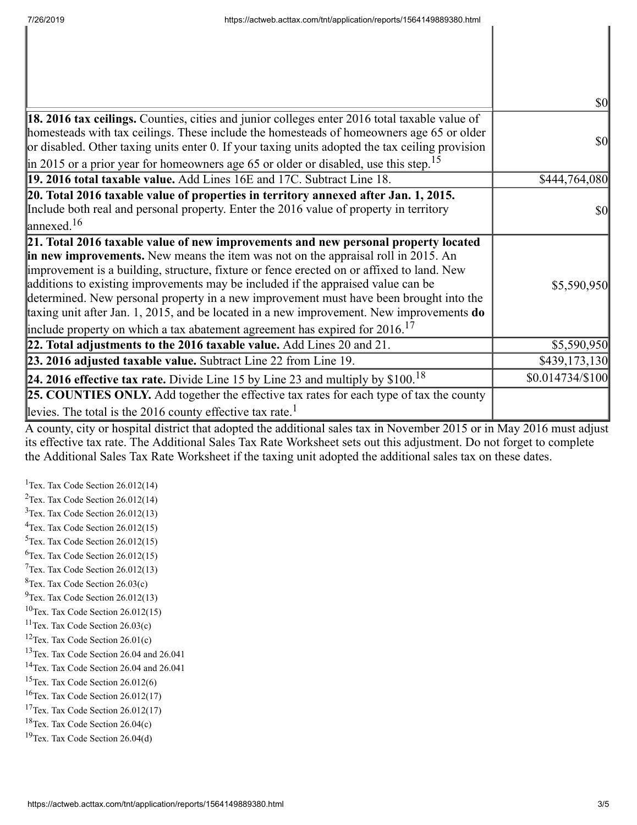|                                                                                                                                                                                                                                                                                                                                                                                                                                                          | <b>\$0</b>        |
|----------------------------------------------------------------------------------------------------------------------------------------------------------------------------------------------------------------------------------------------------------------------------------------------------------------------------------------------------------------------------------------------------------------------------------------------------------|-------------------|
| 18. 2016 tax ceilings. Counties, cities and junior colleges enter 2016 total taxable value of<br>homesteads with tax ceilings. These include the homesteads of homeowners age 65 or older<br>or disabled. Other taxing units enter 0. If your taxing units adopted the tax ceiling provision                                                                                                                                                             | <b>\$0</b>        |
| $\parallel$ in 2015 or a prior year for homeowners age 65 or older or disabled, use this step. <sup>15</sup><br>19. 2016 total taxable value. Add Lines 16E and 17C. Subtract Line 18.                                                                                                                                                                                                                                                                   |                   |
|                                                                                                                                                                                                                                                                                                                                                                                                                                                          | \$444,764,080     |
| 20. Total 2016 taxable value of properties in territory annexed after Jan. 1, 2015.<br>Include both real and personal property. Enter the 2016 value of property in territory<br>$\lvert$ annexed. <sup>16</sup>                                                                                                                                                                                                                                         | <b>\$0</b>        |
| 21. Total 2016 taxable value of new improvements and new personal property located                                                                                                                                                                                                                                                                                                                                                                       |                   |
| in new improvements. New means the item was not on the appraisal roll in 2015. An<br>improvement is a building, structure, fixture or fence erected on or affixed to land. New<br>additions to existing improvements may be included if the appraised value can be<br>determined. New personal property in a new improvement must have been brought into the<br>taxing unit after Jan. 1, 2015, and be located in a new improvement. New improvements do | \$5,590,950       |
| include property on which a tax abatement agreement has expired for $2016$ . <sup>17</sup>                                                                                                                                                                                                                                                                                                                                                               |                   |
| 22. Total adjustments to the 2016 taxable value. Add Lines 20 and 21.                                                                                                                                                                                                                                                                                                                                                                                    | \$5,590,950       |
| 23. 2016 adjusted taxable value. Subtract Line 22 from Line 19.                                                                                                                                                                                                                                                                                                                                                                                          | \$439,173,130     |
| <b>24. 2016 effective tax rate.</b> Divide Line 15 by Line 23 and multiply by $$100.18$                                                                                                                                                                                                                                                                                                                                                                  | $$0.014734/\$100$ |
| <b>25. COUNTIES ONLY.</b> Add together the effective tax rates for each type of tax the county                                                                                                                                                                                                                                                                                                                                                           |                   |
| levies. The total is the 2016 county effective tax rate. <sup>1</sup>                                                                                                                                                                                                                                                                                                                                                                                    |                   |

A county, city or hospital district that adopted the additional sales tax in November 2015 or in May 2016 must adjust its effective tax rate. The Additional Sales Tax Rate Worksheet sets out this adjustment. Do not forget to complete the Additional Sales Tax Rate Worksheet if the taxing unit adopted the additional sales tax on these dates.

<sup>1</sup>Tex. Tax Code Section  $26.012(14)$ <sup>2</sup>Tex. Tax Code Section  $26.012(14)$  $3$ Tex. Tax Code Section 26.012(13)  $4$ Tex. Tax Code Section 26.012(15)  $5$ Tex. Tax Code Section 26.012(15)  ${}^{6}$ Tex. Tax Code Section 26.012(15)  $7$ Tex. Tax Code Section 26.012(13)  ${}^{8}$ Tex. Tax Code Section 26.03(c)  $^{9}$ Tex. Tax Code Section 26.012(13)  $10$ Tex. Tax Code Section 26.012(15)  $11$ Tex. Tax Code Section 26.03(c) <sup>12</sup>Tex. Tax Code Section  $26.01(c)$ <sup>13</sup>Tex. Tax Code Section 26.04 and 26.041 <sup>14</sup>Tex. Tax Code Section 26.04 and 26.041  $15$ Tex. Tax Code Section 26.012(6)  $16$ Tex. Tax Code Section 26.012(17) <sup>17</sup>Tex. Tax Code Section  $26.012(17)$  $18$ Tex. Tax Code Section 26.04(c)  $19$ Tex. Tax Code Section 26.04(d)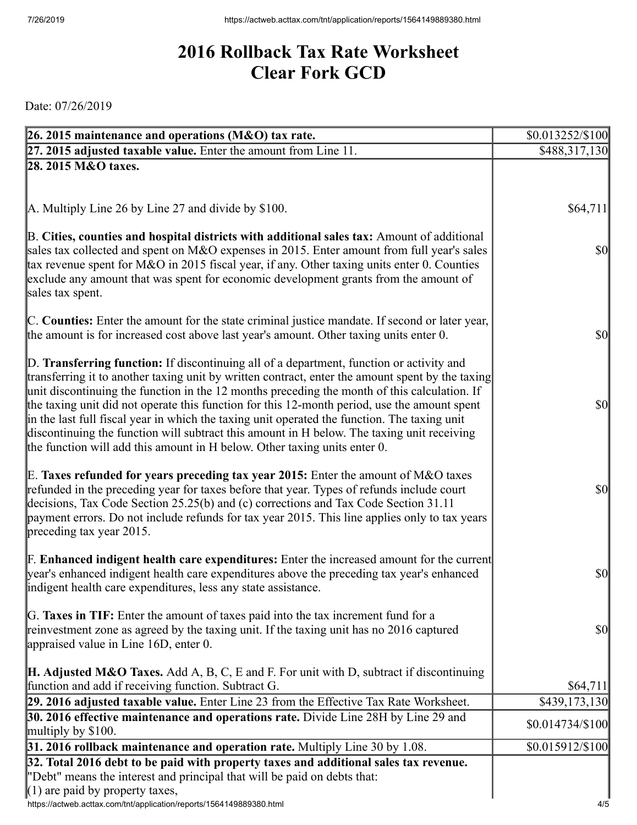## **2016 Rollback Tax Rate Worksheet Clear Fork GCD**

Date: 07/26/2019

| 26. 2015 maintenance and operations (M&O) tax rate.                                                                                                                                          | \$0.013252/\$100                      |
|----------------------------------------------------------------------------------------------------------------------------------------------------------------------------------------------|---------------------------------------|
| 27. 2015 adjusted taxable value. Enter the amount from Line 11.                                                                                                                              | \$488,317,130                         |
| 28. 2015 M&O taxes.                                                                                                                                                                          |                                       |
|                                                                                                                                                                                              |                                       |
|                                                                                                                                                                                              |                                       |
| A. Multiply Line 26 by Line 27 and divide by \$100.                                                                                                                                          | \$64,711                              |
| B. Cities, counties and hospital districts with additional sales tax: Amount of additional                                                                                                   |                                       |
| sales tax collected and spent on M&O expenses in 2015. Enter amount from full year's sales                                                                                                   | \$0                                   |
| tax revenue spent for M&O in 2015 fiscal year, if any. Other taxing units enter 0. Counties                                                                                                  |                                       |
| exclude any amount that was spent for economic development grants from the amount of                                                                                                         |                                       |
| sales tax spent.                                                                                                                                                                             |                                       |
| C. Counties: Enter the amount for the state criminal justice mandate. If second or later year,                                                                                               |                                       |
| the amount is for increased cost above last year's amount. Other taxing units enter 0.                                                                                                       | $ 10\rangle$                          |
|                                                                                                                                                                                              |                                       |
| D. Transferring function: If discontinuing all of a department, function or activity and                                                                                                     |                                       |
| transferring it to another taxing unit by written contract, enter the amount spent by the taxing                                                                                             |                                       |
| unit discontinuing the function in the 12 months preceding the month of this calculation. If                                                                                                 | $ 10\rangle$                          |
| the taxing unit did not operate this function for this 12-month period, use the amount spent<br>in the last full fiscal year in which the taxing unit operated the function. The taxing unit |                                       |
| discontinuing the function will subtract this amount in H below. The taxing unit receiving                                                                                                   |                                       |
| the function will add this amount in H below. Other taxing units enter 0.                                                                                                                    |                                       |
|                                                                                                                                                                                              |                                       |
| E. Taxes refunded for years preceding tax year 2015: Enter the amount of M&O taxes                                                                                                           |                                       |
| refunded in the preceding year for taxes before that year. Types of refunds include court<br>decisions, Tax Code Section 25.25(b) and (c) corrections and Tax Code Section 31.11             | $ 10\rangle$                          |
| payment errors. Do not include refunds for tax year 2015. This line applies only to tax years                                                                                                |                                       |
| $\beta$ preceding tax year 2015.                                                                                                                                                             |                                       |
|                                                                                                                                                                                              |                                       |
| <b>F. Enhanced indigent health care expenditures:</b> Enter the increased amount for the current                                                                                             |                                       |
| year's enhanced indigent health care expenditures above the preceding tax year's enhanced                                                                                                    | \$0                                   |
| indigent health care expenditures, less any state assistance.                                                                                                                                |                                       |
| G. Taxes in TIF: Enter the amount of taxes paid into the tax increment fund for a                                                                                                            |                                       |
| reinvestment zone as agreed by the taxing unit. If the taxing unit has no 2016 captured                                                                                                      | \$0                                   |
| appraised value in Line 16D, enter 0.                                                                                                                                                        |                                       |
|                                                                                                                                                                                              |                                       |
| <b>H. Adjusted M&amp;O Taxes.</b> Add A, B, C, E and F. For unit with D, subtract if discontinuing                                                                                           |                                       |
| function and add if receiving function. Subtract G.<br>29. 2016 adjusted taxable value. Enter Line 23 from the Effective Tax Rate Worksheet.                                                 | \$64,711<br>$\overline{$}439,173,130$ |
| 30. 2016 effective maintenance and operations rate. Divide Line 28H by Line 29 and                                                                                                           |                                       |
| multiply by $$100$ .                                                                                                                                                                         | \$0.014734/\$100                      |
| $31.2016$ rollback maintenance and operation rate. Multiply Line 30 by 1.08.                                                                                                                 | \$0.015912/\$100                      |
| 32. Total 2016 debt to be paid with property taxes and additional sales tax revenue.                                                                                                         |                                       |
| "Debt" means the interest and principal that will be paid on debts that:                                                                                                                     |                                       |
| $(1)$ are paid by property taxes,                                                                                                                                                            |                                       |
| https://actweb.acttax.com/tnt/application/reports/1564149889380.html                                                                                                                         | 4/5                                   |